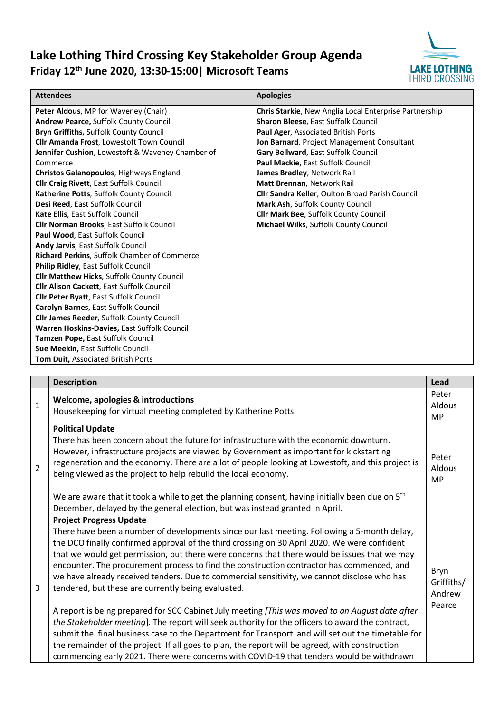## **Lake Lothing Third Crossing Key Stakeholder Group Agenda Friday 12th June 2020, 13:30-15:00| Microsoft Teams**



| <b>Attendees</b>                                    | <b>Apologies</b>                                       |  |
|-----------------------------------------------------|--------------------------------------------------------|--|
| <b>Peter Aldous, MP for Waveney (Chair)</b>         | Chris Starkie, New Anglia Local Enterprise Partnership |  |
| <b>Andrew Pearce, Suffolk County Council</b>        | Sharon Bleese, East Suffolk Council                    |  |
| Bryn Griffiths, Suffolk County Council              | Paul Ager, Associated British Ports                    |  |
| Cllr Amanda Frost, Lowestoft Town Council           | Jon Barnard, Project Management Consultant             |  |
| Jennifer Cushion, Lowestoft & Waveney Chamber of    | Gary Bellward, East Suffolk Council                    |  |
| Commerce                                            | Paul Mackie, East Suffolk Council                      |  |
| Christos Galanopoulos, Highways England             | James Bradley, Network Rail                            |  |
| Cllr Craig Rivett, East Suffolk Council             | Matt Brennan, Network Rail                             |  |
| Katherine Potts, Suffolk County Council             | Cllr Sandra Keller, Oulton Broad Parish Council        |  |
| Desi Reed, East Suffolk Council                     | Mark Ash, Suffolk County Council                       |  |
| Kate Ellis, East Suffolk Council                    | <b>Cllr Mark Bee, Suffolk County Council</b>           |  |
| <b>Cllr Norman Brooks, East Suffolk Council</b>     | Michael Wilks, Suffolk County Council                  |  |
| Paul Wood, East Suffolk Council                     |                                                        |  |
| <b>Andy Jarvis, East Suffolk Council</b>            |                                                        |  |
| <b>Richard Perkins, Suffolk Chamber of Commerce</b> |                                                        |  |
| Philip Ridley, East Suffolk Council                 |                                                        |  |
| Cllr Matthew Hicks, Suffolk County Council          |                                                        |  |
| Cllr Alison Cackett, East Suffolk Council           |                                                        |  |
| Cllr Peter Byatt, East Suffolk Council              |                                                        |  |
| Carolyn Barnes, East Suffolk Council                |                                                        |  |
| <b>Cllr James Reeder, Suffolk County Council</b>    |                                                        |  |
| Warren Hoskins-Davies, East Suffolk Council         |                                                        |  |
| Tamzen Pope, East Suffolk Council                   |                                                        |  |
| Sue Meekin, East Suffolk Council                    |                                                        |  |
| <b>Tom Duit, Associated British Ports</b>           |                                                        |  |

|                | <b>Description</b>                                                                                                                                                                                                                                                                                                                                                                                                                                                                                                                                                              | Lead                                   |
|----------------|---------------------------------------------------------------------------------------------------------------------------------------------------------------------------------------------------------------------------------------------------------------------------------------------------------------------------------------------------------------------------------------------------------------------------------------------------------------------------------------------------------------------------------------------------------------------------------|----------------------------------------|
| $\mathbf{1}$   | <b>Welcome, apologies &amp; introductions</b><br>Housekeeping for virtual meeting completed by Katherine Potts.                                                                                                                                                                                                                                                                                                                                                                                                                                                                 | Peter<br>Aldous<br><b>MP</b>           |
| $\overline{2}$ | <b>Political Update</b><br>There has been concern about the future for infrastructure with the economic downturn.<br>However, infrastructure projects are viewed by Government as important for kickstarting<br>regeneration and the economy. There are a lot of people looking at Lowestoft, and this project is<br>being viewed as the project to help rebuild the local economy.                                                                                                                                                                                             |                                        |
|                | We are aware that it took a while to get the planning consent, having initially been due on 5 <sup>th</sup><br>December, delayed by the general election, but was instead granted in April.                                                                                                                                                                                                                                                                                                                                                                                     |                                        |
| $\overline{3}$ | <b>Project Progress Update</b><br>There have been a number of developments since our last meeting. Following a 5-month delay,<br>the DCO finally confirmed approval of the third crossing on 30 April 2020. We were confident<br>that we would get permission, but there were concerns that there would be issues that we may<br>encounter. The procurement process to find the construction contractor has commenced, and<br>we have already received tenders. Due to commercial sensitivity, we cannot disclose who has<br>tendered, but these are currently being evaluated. | Bryn<br>Griffiths/<br>Andrew<br>Pearce |
|                | A report is being prepared for SCC Cabinet July meeting [This was moved to an August date after<br>the Stakeholder meeting]. The report will seek authority for the officers to award the contract,<br>submit the final business case to the Department for Transport and will set out the timetable for<br>the remainder of the project. If all goes to plan, the report will be agreed, with construction<br>commencing early 2021. There were concerns with COVID-19 that tenders would be withdrawn                                                                         |                                        |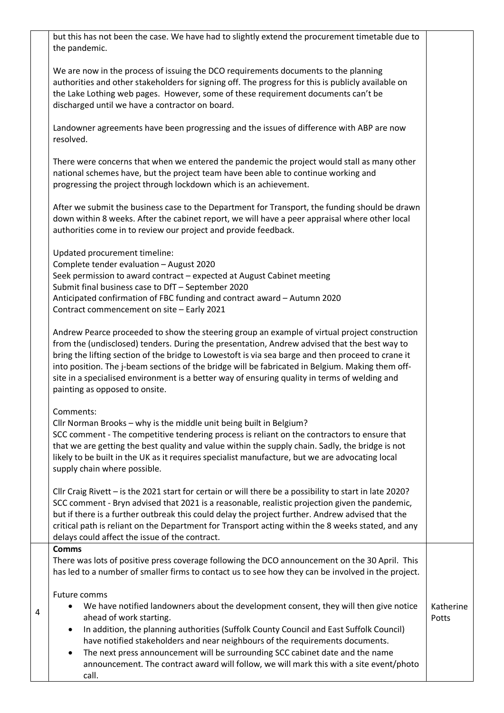but this has not been the case. We have had to slightly extend the procurement timetable due to the pandemic.

We are now in the process of issuing the DCO requirements documents to the planning authorities and other stakeholders for signing off. The progress for this is publicly available on the Lake Lothing web pages. However, some of these requirement documents can't be discharged until we have a contractor on board.

Landowner agreements have been progressing and the issues of difference with ABP are now resolved.

There were concerns that when we entered the pandemic the project would stall as many other national schemes have, but the project team have been able to continue working and progressing the project through lockdown which is an achievement.

After we submit the business case to the Department for Transport, the funding should be drawn down within 8 weeks. After the cabinet report, we will have a peer appraisal where other local authorities come in to review our project and provide feedback.

Updated procurement timeline: Complete tender evaluation – August 2020 Seek permission to award contract – expected at August Cabinet meeting Submit final business case to DfT – September 2020 Anticipated confirmation of FBC funding and contract award – Autumn 2020 Contract commencement on site – Early 2021

Andrew Pearce proceeded to show the steering group an example of virtual project construction from the (undisclosed) tenders. During the presentation, Andrew advised that the best way to bring the lifting section of the bridge to Lowestoft is via sea barge and then proceed to crane it into position. The j-beam sections of the bridge will be fabricated in Belgium. Making them offsite in a specialised environment is a better way of ensuring quality in terms of welding and painting as opposed to onsite.

Comments:

Cllr Norman Brooks – why is the middle unit being built in Belgium? SCC comment - The competitive tendering process is reliant on the contractors to ensure that that we are getting the best quality and value within the supply chain. Sadly, the bridge is not likely to be built in the UK as it requires specialist manufacture, but we are advocating local supply chain where possible.

Cllr Craig Rivett – is the 2021 start for certain or will there be a possibility to start in late 2020? SCC comment - Bryn advised that 2021 is a reasonable, realistic projection given the pandemic, but if there is a further outbreak this could delay the project further. Andrew advised that the critical path is reliant on the Department for Transport acting within the 8 weeks stated, and any delays could affect the issue of the contract.

**Comms**

4

There was lots of positive press coverage following the DCO announcement on the 30 April. This has led to a number of smaller firms to contact us to see how they can be involved in the project.

Future comms

| We have notified landowners about the development consent, they will then give notice $\parallel$ Katherine |                         |       |
|-------------------------------------------------------------------------------------------------------------|-------------------------|-------|
|                                                                                                             | ahead of work starting. | Potts |
|                                                                                                             |                         |       |

• In addition, the planning authorities (Suffolk County Council and East Suffolk Council) have notified stakeholders and near neighbours of the requirements documents.

The next press announcement will be surrounding SCC cabinet date and the name announcement. The contract award will follow, we will mark this with a site event/photo call.